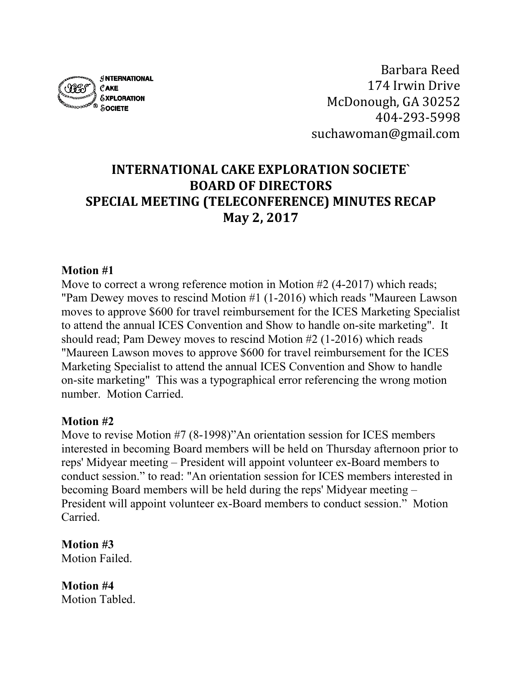

Barbara Reed 174 Irwin Drive McDonough, GA 30252 404-293-5998 suchawoman@gmail.com

# **INTERNATIONAL CAKE EXPLORATION SOCIETE` BOARD OF DIRECTORS SPECIAL MEETING (TELECONFERENCE) MINUTES RECAP May 2, 2017**

### **Motion #1**

Move to correct a wrong reference motion in Motion #2 (4-2017) which reads; "Pam Dewey moves to rescind Motion #1 (1-2016) which reads "Maureen Lawson moves to approve \$600 for travel reimbursement for the ICES Marketing Specialist to attend the annual ICES Convention and Show to handle on-site marketing". It should read; Pam Dewey moves to rescind Motion #2 (1-2016) which reads "Maureen Lawson moves to approve \$600 for travel reimbursement for the ICES Marketing Specialist to attend the annual ICES Convention and Show to handle on-site marketing" This was a typographical error referencing the wrong motion number. Motion Carried.

#### **Motion #2**

Move to revise Motion #7 (8-1998)"An orientation session for ICES members interested in becoming Board members will be held on Thursday afternoon prior to reps' Midyear meeting – President will appoint volunteer ex-Board members to conduct session." to read: "An orientation session for ICES members interested in becoming Board members will be held during the reps' Midyear meeting – President will appoint volunteer ex-Board members to conduct session." Motion Carried.

**Motion #3** Motion Failed.

**Motion #4** Motion Tabled.